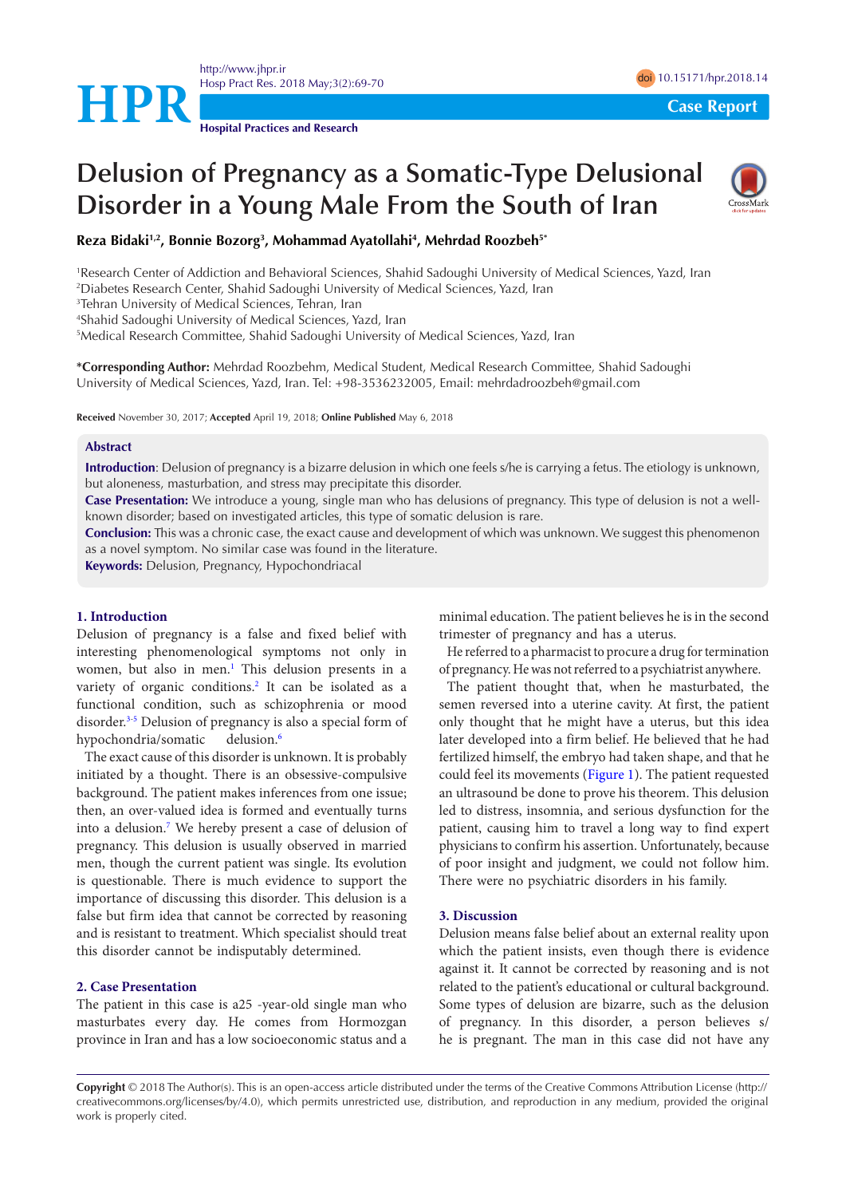

<http://www.jhpr.ir> Hosp Pract Res. 2018 May;3(2):69-70 doi [10.15171/hpr.2018.1](https://doi.org/10.15171/hpr.2018.14)4

**Hospital Practices and Research**

# **Delusion of Pregnancy as a Somatic-Type Delusional Disorder in a Young Male From the South of Iran**



**Reza Bidaki1,2, Bonnie Bozorg3 , Mohammad Ayatollahi4 , Mehrdad Roozbeh5\***

1 Research Center of Addiction and Behavioral Sciences, Shahid Sadoughi University of Medical Sciences, Yazd, Iran

2 Diabetes Research Center, Shahid Sadoughi University of Medical Sciences, Yazd, Iran

3 Tehran University of Medical Sciences, Tehran, Iran 4 Shahid Sadoughi University of Medical Sciences, Yazd, Iran

5 Medical Research Committee, Shahid Sadoughi University of Medical Sciences, Yazd, Iran

**\*Corresponding Author:** Mehrdad Roozbehm, Medical Student, Medical Research Committee, Shahid Sadoughi University of Medical Sciences, Yazd, Iran. Tel: +98-3536232005, Email: mehrdadroozbeh@gmail.com

**Received** November 30, 2017; **Accepted** April 19, 2018; **Online Published** May 6, 2018

#### **Abstract**

**Introduction**: Delusion of pregnancy is a bizarre delusion in which one feels s/he is carrying a fetus. The etiology is unknown, but aloneness, masturbation, and stress may precipitate this disorder.

**Case Presentation:** We introduce a young, single man who has delusions of pregnancy. This type of delusion is not a wellknown disorder; based on investigated articles, this type of somatic delusion is rare.

**Conclusion:** This was a chronic case, the exact cause and development of which was unknown. We suggest this phenomenon as a novel symptom. No similar case was found in the literature.

**Keywords:** Delusion, Pregnancy, Hypochondriacal

#### **1. Introduction**

Delusion of pregnancy is a false and fixed belief with interesting phenomenological symptoms not only in women, but also in men.<sup>1</sup> This delusion presents in a variety of organic conditions.<sup>2</sup> It can be isolated as a functional condition, such as schizophrenia or mood disorder.<sup>[3-](#page-1-2)[5](#page-1-3)</sup> Delusion of pregnancy is also a special form of hypochondria/somatic delusion.[6](#page-1-4)

The exact cause of this disorder is unknown. It is probably initiated by a thought. There is an obsessive-compulsive background. The patient makes inferences from one issue; then, an over-valued idea is formed and eventually turns into a delusion.<sup>7</sup> We hereby present a case of delusion of pregnancy. This delusion is usually observed in married men, though the current patient was single. Its evolution is questionable. There is much evidence to support the importance of discussing this disorder. This delusion is a false but firm idea that cannot be corrected by reasoning and is resistant to treatment. Which specialist should treat this disorder cannot be indisputably determined.

## **2. Case Presentation**

The patient in this case is a25 -year-old single man who masturbates every day. He comes from Hormozgan province in Iran and has a low socioeconomic status and a

minimal education. The patient believes he is in the second trimester of pregnancy and has a uterus.

He referred to a pharmacist to procure a drug for termination of pregnancy. He was not referred to a psychiatrist anywhere.

The patient thought that, when he masturbated, the semen reversed into a uterine cavity. At first, the patient only thought that he might have a uterus, but this idea later developed into a firm belief. He believed that he had fertilized himself, the embryo had taken shape, and that he could feel its movements ([Figure 1\)](#page-1-6). The patient requested an ultrasound be done to prove his theorem. This delusion led to distress, insomnia, and serious dysfunction for the patient, causing him to travel a long way to find expert physicians to confirm his assertion. Unfortunately, because of poor insight and judgment, we could not follow him. There were no psychiatric disorders in his family.

#### **3. Discussion**

Delusion means false belief about an external reality upon which the patient insists, even though there is evidence against it. It cannot be corrected by reasoning and is not related to the patient's educational or cultural background. Some types of delusion are bizarre, such as the delusion of pregnancy. In this disorder, a person believes s/ he is pregnant. The man in this case did not have any

**Copyright** © 2018 The Author(s). This is an open-access article distributed under the terms of the Creative Commons Attribution License (http:// creativecommons.org/licenses/by/4.0), which permits unrestricted use, distribution, and reproduction in any medium, provided the original work is properly cited.